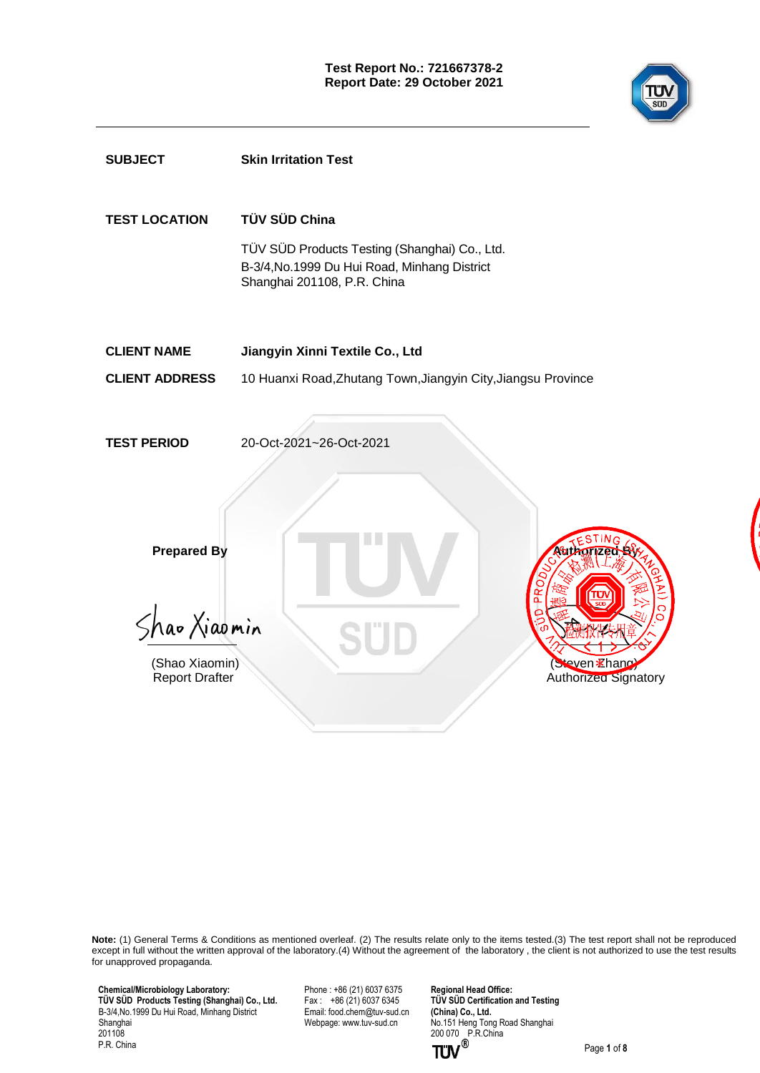

| <b>SUBJECT</b>                                                                | <b>Skin Irritation Test</b>                                                                                                                    |
|-------------------------------------------------------------------------------|------------------------------------------------------------------------------------------------------------------------------------------------|
| <b>TEST LOCATION</b>                                                          | TÜV SÜD China<br>TÜV SÜD Products Testing (Shanghai) Co., Ltd.<br>B-3/4, No. 1999 Du Hui Road, Minhang District<br>Shanghai 201108, P.R. China |
| <b>CLIENT NAME</b>                                                            | Jiangyin Xinni Textile Co., Ltd                                                                                                                |
| <b>CLIENT ADDRESS</b>                                                         | 10 Huanxi Road, Zhutang Town, Jiangyin City, Jiangsu Province                                                                                  |
|                                                                               |                                                                                                                                                |
| <b>TEST PERIOD</b>                                                            | 20-Oct-2021~26-Oct-2021                                                                                                                        |
| <b>Prepared By</b><br>Shao Xiaomin<br>(Shao Xiaomin)<br><b>Report Drafter</b> | <b>POTIZED</b><br>a<br>Steven Ehang<br>Authorized Signatory                                                                                    |
|                                                                               |                                                                                                                                                |

**Note:** (1) General Terms & Conditions as mentioned overleaf. (2) The results relate only to the items tested.(3) The test report shall not be reproduced except in full without the written approval of the laboratory.(4) Without the agreement of the laboratory , the client is not authorized to use the test results for unapproved propaganda.

 **Chemical/Microbiology Laboratory: TÜ V SÜ D Products Testing (Shanghai) Co., Ltd.** B-3/4,No.1999 Du Hui Road, Minhang District Shanghai 201108 P.R. China

Phone : +86 (21) 6037 6375 Fax :  $+86(21)(60376345)$ Email[: food.chem@tuv-sud.cn](mailto:food.chem@tuv-sud.cn) Webpage[: www.tuv-sud.cn](http://www.tuv-sud.cn/)

**Regional Head Office: TÜV SÜD Certification and Testing (China) Co., Ltd.**  No.151 Heng Tong Road Shanghai 200 070 P.R.China

Page **1** of **8**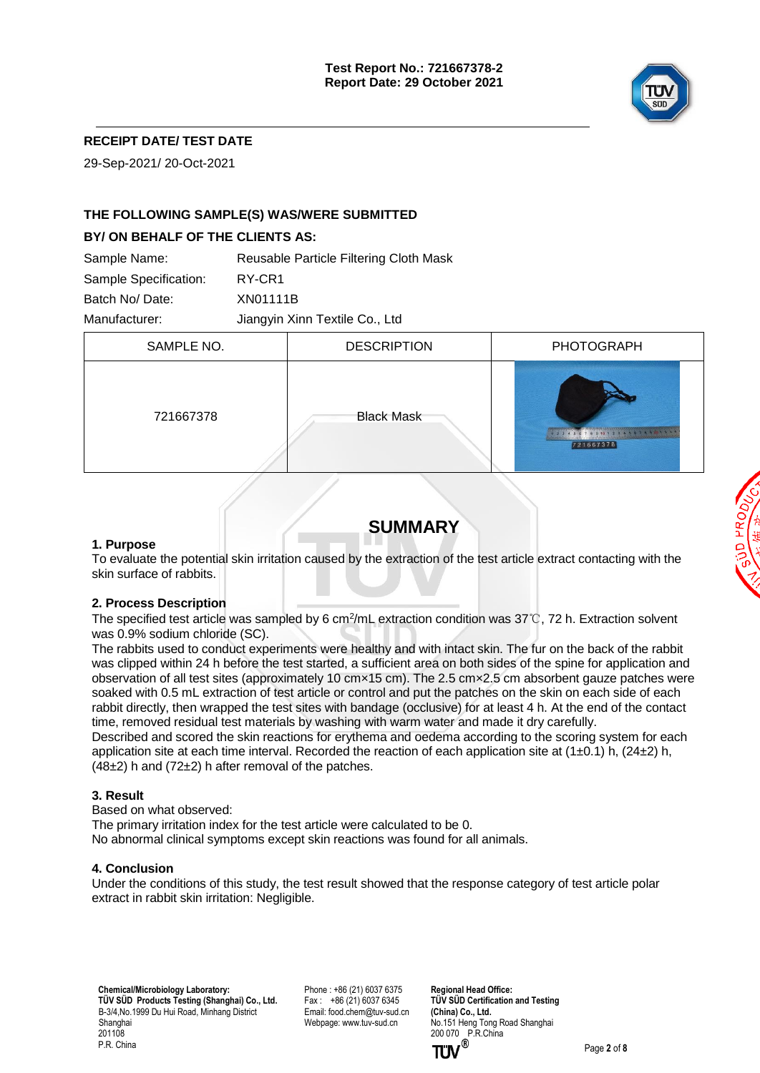

## **RECEIPT DATE/ TEST DATE**

29-Sep-2021/ 20-Oct-2021

## **THE FOLLOWING SAMPLE(S) WAS/WERE SUBMITTED**

#### **BY/ ON BEHALF OF THE CLIENTS AS:**

| Sample Name:          | Reusable Particle Filtering Cloth Mask |
|-----------------------|----------------------------------------|
| Sample Specification: | RY-CR1                                 |
| Batch No/Date:        | XN01111B                               |
| Manufacturer:         | Jiangyin Xinn Textile Co., Ltd         |

| SAMPLE NO. | <b>DESCRIPTION</b> | <b>PHOTOGRAPH</b>                                                 |
|------------|--------------------|-------------------------------------------------------------------|
| 721667378  | <b>Black Mask</b>  | <b>REAL PROPERTY</b><br>T P 9 40 1 2 3 4 5 6 7 8 9 7<br>721667378 |
|            |                    |                                                                   |

## **SUMMARY**

#### **1. Purpose**

To evaluate the potential skin irritation caused by the extraction of the test article extract contacting with the skin surface of rabbits.

#### **2. Process Description**

The specified test article was sampled by 6 cm<sup>2</sup> /mL extraction condition was 37℃, 72 h. Extraction solvent was 0.9% sodium chloride (SC).

The rabbits used to conduct experiments were healthy and with intact skin. The fur on the back of the rabbit was clipped within 24 h before the test started, a sufficient area on both sides of the spine for application and observation of all test sites (approximately 10 cm×15 cm). The 2.5 cm×2.5 cm absorbent gauze patches were soaked with 0.5 mL extraction of test article or control and put the patches on the skin on each side of each rabbit directly, then wrapped the test sites with bandage (occlusive) for at least 4 h. At the end of the contact time, removed residual test materials by washing with warm water and made it dry carefully.

Described and scored the skin reactions for erythema and oedema according to the scoring system for each application site at each time interval. Recorded the reaction of each application site at  $(1\pm0.1)$  h,  $(24\pm2)$  h,  $(48±2)$  h and  $(72±2)$  h after removal of the patches.

#### **3. Result**

Based on what observed: The primary irritation index for the test article were calculated to be 0. No abnormal clinical symptoms except skin reactions was found for all animals.

#### **4. Conclusion**

Under the conditions of this study, the test result showed that the response category of test article polar extract in rabbit skin irritation: Negligible.

 **Chemical/Microbiology Laboratory: TÜV SÜD Products Testing (Shanghai) Co., Ltd.** B-3/4,No.1999 Du Hui Road, Minhang District Shanghai 201108 P.R. China

Phone : +86 (21) 6037 6375 Fax :  $+86(21)60376345$ Email[: food.chem@tuv-sud.cn](mailto:food.chem@tuv-sud.cn) Webpage[: www.tuv-sud.cn](http://www.tuv-sud.cn/)

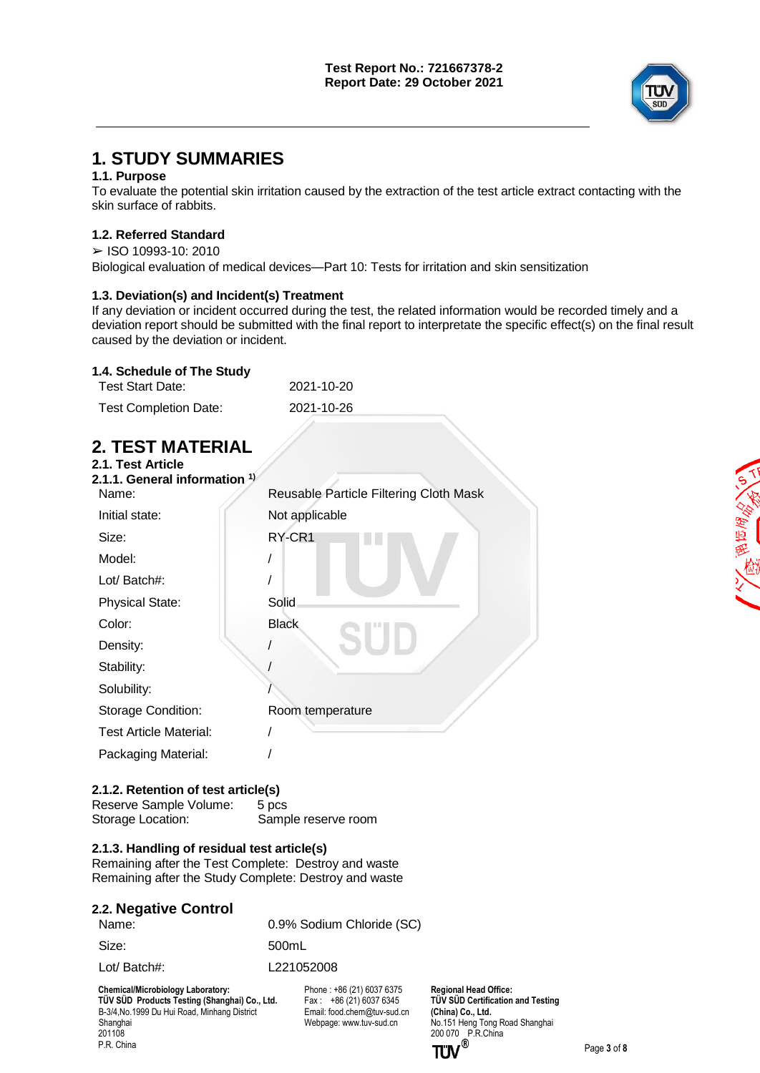

全面医学

# **1. STUDY SUMMARIES**

## **1.1. Purpose**

To evaluate the potential skin irritation caused by the extraction of the test article extract contacting with the skin surface of rabbits.

## **1.2. Referred Standard**

 $>$  ISO 10993-10: 2010 Biological evaluation of medical devices—Part 10: Tests for irritation and skin sensitization

## **1.3. Deviation(s) and Incident(s) Treatment**

If any deviation or incident occurred during the test, the related information would be recorded timely and a deviation report should be submitted with the final report to interpretate the specific effect(s) on the final result caused by the deviation or incident.

## **1.4. Schedule of The Study**

| Test Start Date:             | 2021-10-20 |
|------------------------------|------------|
| <b>Test Completion Date:</b> | 2021-10-26 |

# **2. TEST MATERIAL**

| 2.1. Test Article<br>2.1.1. General information $^{1)}$ |                                        |
|---------------------------------------------------------|----------------------------------------|
| Name:                                                   | Reusable Particle Filtering Cloth Mask |
| Initial state:                                          | Not applicable                         |
| Size:                                                   | RY-CR1                                 |
| Model:                                                  |                                        |
| Lot/ Batch#:                                            |                                        |
| <b>Physical State:</b>                                  | Solid                                  |
| Color:                                                  | <b>Black</b>                           |
| Density:                                                |                                        |
| Stability:                                              |                                        |
| Solubility:                                             |                                        |
| Storage Condition:                                      | Room temperature                       |
| <b>Test Article Material:</b>                           |                                        |
| Packaging Material:                                     |                                        |

## **2.1.2. Retention of test article(s)**

Reserve Sample Volume: 5 pcs<br>Storage Location: Samp Sample reserve room

## **2.1.3. Handling of residual test article(s)**

Remaining after the Test Complete: Destroy and waste Remaining after the Study Complete: Destroy and waste

| 2.2. Negative Control |                           |
|-----------------------|---------------------------|
| Name:                 | 0.9% Sodium Chloride (SC) |
| Size:                 | 500mL                     |

Lot/ Batch#: L221052008

 **Chemical/Microbiology Laboratory:**

**TÜV SÜD Products Testing (Shanghai) Co., Ltd.** B-3/4,No.1999 Du Hui Road, Minhang District Shanghai 201108 P.R. China

Phone : +86 (21) 6037 6375 Fax:  $+86(21)60376345$ Email[: food.chem@tuv-sud.cn](mailto:food.chem@tuv-sud.cn) Webpage[: www.tuv-sud.cn](http://www.tuv-sud.cn/)

**Regional Head Office: TÜV SÜD Certification and Testing (China) Co., Ltd.**  No.151 Heng Tong Road Shanghai 200 070 P.R.China



Page **3** of **8**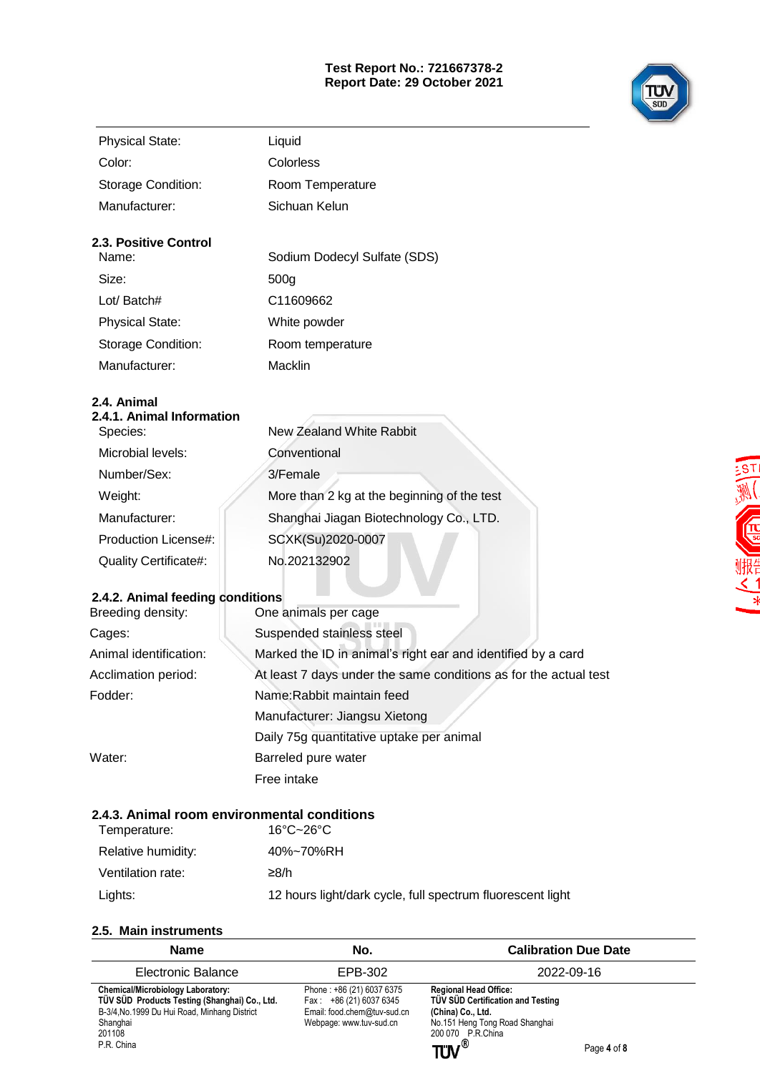### **Test Report No.: 721667378-2 Report Date: 29 October 2021**



| <b>Physical State:</b>                | Liquid                       |
|---------------------------------------|------------------------------|
| Color:                                | Colorless                    |
| Storage Condition:                    | Room Temperature             |
| Manufacturer:                         | Sichuan Kelun                |
| <b>2.3. Positive Control</b><br>Name: | Sodium Dodecyl Sulfate (SDS) |
| Size:                                 | 500 <sub>q</sub>             |
| Lot/ Batch#                           | C11609662                    |
| <b>Physical State:</b>                | White powder                 |
| Storage Condition:                    | Room temperature             |
| Manufacturer:                         | Macklin                      |

## **2.4. Animal**

| 2.4.1. Animal Information    |                                             |
|------------------------------|---------------------------------------------|
| Species:                     | New Zealand White Rabbit                    |
| Microbial levels:            | Conventional                                |
| Number/Sex:                  | 3/Female                                    |
| Weight:                      | More than 2 kg at the beginning of the test |
| Manufacturer:                | Shanghai Jiagan Biotechnology Co., LTD.     |
| Production License#:         | SCXK(Su)2020-0007                           |
| <b>Quality Certificate#:</b> | No.202132902                                |
|                              |                                             |

## **2.4.2. Animal feeding conditions**

| Breeding density:      | One animals per cage                                             |
|------------------------|------------------------------------------------------------------|
| Cages:                 | Suspended stainless steel                                        |
| Animal identification: | Marked the ID in animal's right ear and identified by a card     |
| Acclimation period:    | At least 7 days under the same conditions as for the actual test |
| Fodder:                | Name: Rabbit maintain feed                                       |
|                        | Manufacturer: Jiangsu Xietong                                    |
|                        | Daily 75g quantitative uptake per animal                         |
| Water:                 | Barreled pure water                                              |
|                        | Free intake                                                      |
|                        |                                                                  |

## **2.4.3. Animal room environmental conditions**

| Temperature:       | $16^{\circ}$ C $-26^{\circ}$ C                             |
|--------------------|------------------------------------------------------------|
| Relative humidity: | 40%~70%RH                                                  |
| Ventilation rate:  | ≥8/h                                                       |
| Lights:            | 12 hours light/dark cycle, full spectrum fluorescent light |
|                    |                                                            |

## **2.5. Main instruments**

| <b>Name</b>                                                                                                                                                                   | No.                                                                                                           | <b>Calibration Due Date</b>                                                                                                                                              |             |
|-------------------------------------------------------------------------------------------------------------------------------------------------------------------------------|---------------------------------------------------------------------------------------------------------------|--------------------------------------------------------------------------------------------------------------------------------------------------------------------------|-------------|
| Electronic Balance                                                                                                                                                            | EPB-302                                                                                                       | 2022-09-16                                                                                                                                                               |             |
| <b>Chemical/Microbiology Laboratory:</b><br>TÜV SÜD Products Testing (Shanghai) Co., Ltd.<br>B-3/4, No.1999 Du Hui Road, Minhang District<br>Shanghai<br>201108<br>P.R. China | Phone: +86 (21) 6037 6375<br>Fax: $+86(21)60376345$<br>Email: food.chem@tuv-sud.cn<br>Webpage: www.tuv-sud.cn | <b>Regional Head Office:</b><br>TÜV SÜD Certification and Testing<br>(China) Co., Ltd.<br>No.151 Heng Tong Road Shanghai<br>200 070 P.R.China<br>${\bf TUV}^{\circledR}$ | Page 4 of 8 |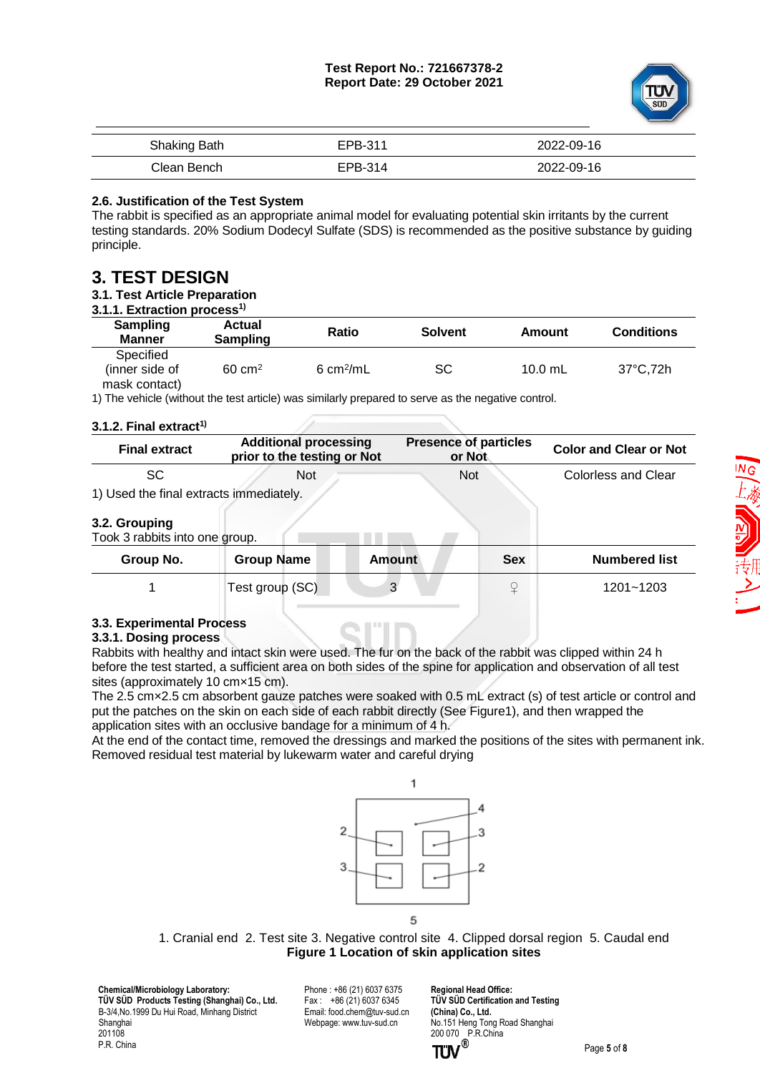

| Shaking Bath | EPB-311 | 2022-09-16 |
|--------------|---------|------------|
| Clean Bench  | EPB-314 | 2022-09-16 |

#### **2.6. Justification of the Test System**

The rabbit is specified as an appropriate animal model for evaluating potential skin irritants by the current testing standards. 20% Sodium Dodecyl Sulfate (SDS) is recommended as the positive substance by guiding principle.

## **3. TEST DESIGN**

#### **3.1. Test Article Preparation**

**3.1.1. Extraction process1)**

| 9. EAU GUUDII DI OUUSS    |                           |                             |                |           |                    |
|---------------------------|---------------------------|-----------------------------|----------------|-----------|--------------------|
| Sampling<br><b>Manner</b> | <b>Actual</b><br>Sampling | Ratio                       | <b>Solvent</b> | Amount    | <b>Conditions</b>  |
| Specified                 |                           |                             |                |           |                    |
| (inner side of            | $60 \text{ cm}^2$         | $6 \text{ cm}^2/\text{m}$ L | SC             | $10.0$ mL | $37^{\circ}$ C.72h |
| mask contact)             |                           |                             |                |           |                    |

1) The vehicle (without the test article) was similarly prepared to serve as the negative control.

#### **3.1.2. Final extract1)**

| <b>Final extract</b>                            | <b>Additional processing</b><br>prior to the testing or Not | <b>Presence of particles</b><br>or Not | <b>Color and Clear or Not</b> |
|-------------------------------------------------|-------------------------------------------------------------|----------------------------------------|-------------------------------|
| <b>SC</b>                                       | <b>Not</b>                                                  | <b>Not</b>                             | Colorless and Clear           |
| 1) Used the final extracts immediately.         |                                                             |                                        |                               |
| 3.2. Grouping<br>Took 3 rabbits into one group. |                                                             |                                        |                               |
| Group No.                                       | <b>Group Name</b>                                           | <b>Amount</b><br><b>Sex</b>            | <b>Numbered list</b>          |
|                                                 | Test group (SC)                                             | 3<br>¥                                 | 1201~1203                     |

#### **3.3. Experimental Process**

#### **3.3.1. Dosing process**

Rabbits with healthy and intact skin were used. The fur on the back of the rabbit was clipped within 24 h before the test started, a sufficient area on both sides of the spine for application and observation of all test sites (approximately 10 cm×15 cm).

The 2.5 cm×2.5 cm absorbent gauze patches were soaked with 0.5 mL extract (s) of test article or control and put the patches on the skin on each side of each rabbit directly (See Figure1), and then wrapped the application sites with an occlusive bandage for a minimum of 4 h.

At the end of the contact time, removed the dressings and marked the positions of the sites with permanent ink. Removed residual test material by lukewarm water and careful drying



1. Cranial end 2. Test site 3. Negative control site 4. Clipped dorsal region 5. Caudal end **Figure 1 Location of skin application sites**

 **Chemical/Microbiology Laboratory: TÜV SÜD Products Testing (Shanghai) Co., Ltd.** B-3/4,No.1999 Du Hui Road, Minhang District Shanghai 201108 P.R. China

Phone : +86 (21) 6037 6375 Fax :  $+86(21)60376345$ Email[: food.chem@tuv-sud.cn](mailto:food.chem@tuv-sud.cn) Webpage[: www.tuv-sud.cn](http://www.tuv-sud.cn/)

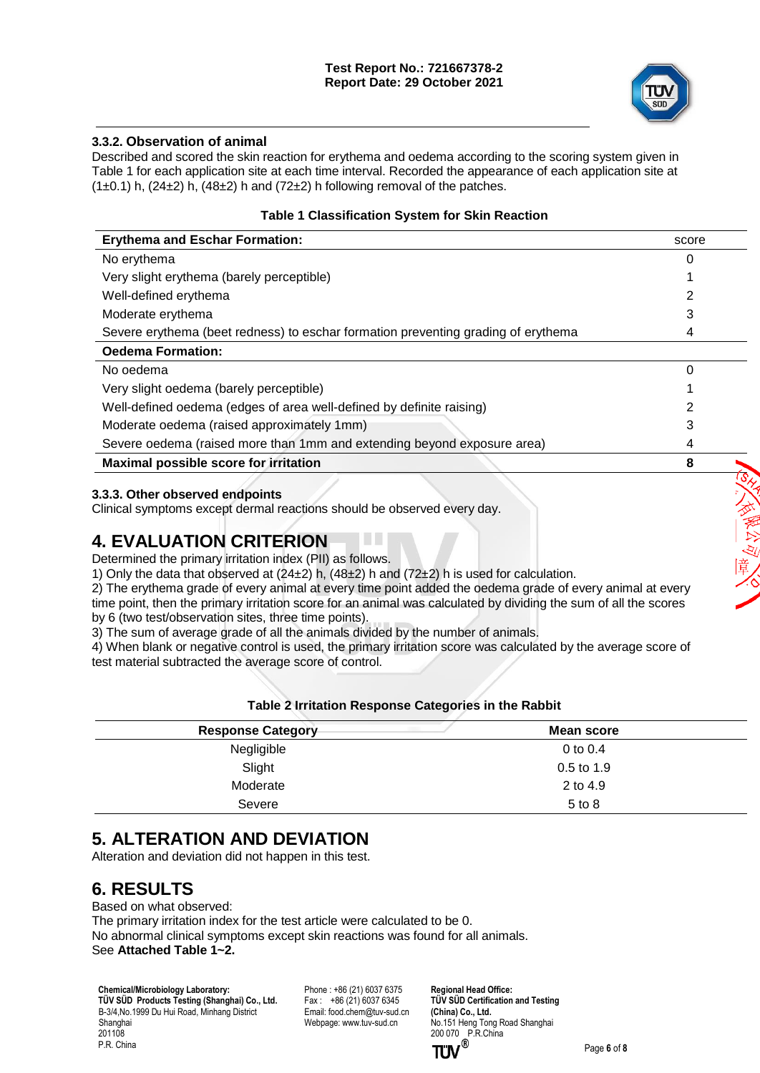#### **Test Report No.: 721667378-2 Report Date: 29 October 2021**



发展以应用:

## **3.3.2. Observation of animal**

Described and scored the skin reaction for erythema and oedema according to the scoring system given in Table 1 for each application site at each time interval. Recorded the appearance of each application site at  $(1\pm0.1)$  h,  $(24\pm2)$  h,  $(48\pm2)$  h and  $(72\pm2)$  h following removal of the patches.

#### **Table 1 Classification System for Skin Reaction**

| <b>Erythema and Eschar Formation:</b>                                             | score |
|-----------------------------------------------------------------------------------|-------|
| No erythema                                                                       | 0     |
| Very slight erythema (barely perceptible)                                         |       |
| Well-defined erythema                                                             |       |
| Moderate erythema                                                                 |       |
| Severe erythema (beet redness) to eschar formation preventing grading of erythema | 4     |
| <b>Oedema Formation:</b>                                                          |       |
| No oedema                                                                         | 0     |
| Very slight oedema (barely perceptible)                                           |       |
| Well-defined oedema (edges of area well-defined by definite raising)              |       |
| Moderate oedema (raised approximately 1mm)                                        | 3     |
| Severe oedema (raised more than 1mm and extending beyond exposure area)           | 4     |
| Maximal possible score for irritation                                             | 8     |
|                                                                                   |       |

#### **3.3.3. Other observed endpoints**

Clinical symptoms except dermal reactions should be observed every day.

# **4. EVALUATION CRITERION**

Determined the primary irritation index (PII) as follows.

1) Only the data that observed at  $(24±2)$  h,  $(48±2)$  h and  $(72±2)$  h is used for calculation.

2) The erythema grade of every animal at every time point added the oedema grade of every animal at every time point, then the primary irritation score for an animal was calculated by dividing the sum of all the scores by 6 (two test/observation sites, three time points).

3) The sum of average grade of all the animals divided by the number of animals.

4) When blank or negative control is used, the primary irritation score was calculated by the average score of test material subtracted the average score of control.

| Table E Minditch Roopence Categories in the Rabbit |              |  |  |  |
|----------------------------------------------------|--------------|--|--|--|
| <b>Response Category</b>                           | Mean score   |  |  |  |
| Negligible                                         | 0 to $0.4$   |  |  |  |
| Slight                                             | $0.5$ to 1.9 |  |  |  |
| Moderate                                           | 2 to 4.9     |  |  |  |
| Severe                                             | 5 to 8       |  |  |  |

#### **Table 2 Irritation Response Categories in the Rabbit**

# **5. ALTERATION AND DEVIATION**

Alteration and deviation did not happen in this test.

## **6. RESULTS**

Based on what observed: The primary irritation index for the test article were calculated to be 0. No abnormal clinical symptoms except skin reactions was found for all animals. See **Attached Table 1~2.**

 **Chemical/Microbiology Laboratory: TÜV SÜD Products Testing (Shanghai) Co., Ltd.** B-3/4,No.1999 Du Hui Road, Minhang District Shanghai 201108 P.R. China

Phone : +86 (21) 6037 6375 Fax :  $+86(21)60376345$ Email[: food.chem@tuv-sud.cn](mailto:food.chem@tuv-sud.cn) Webpage[: www.tuv-sud.cn](http://www.tuv-sud.cn/)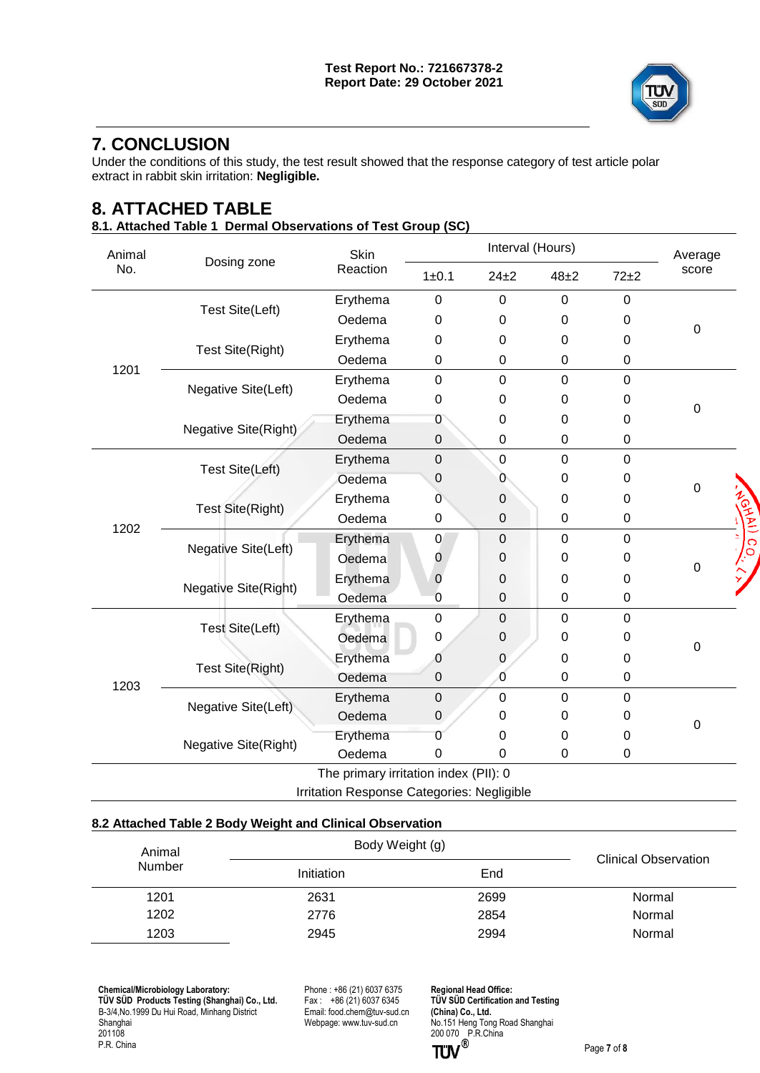

# **7. CONCLUSION**

Under the conditions of this study, the test result showed that the response category of test article polar extract in rabbit skin irritation: **Negligible.**

# **8. ATTACHED TABLE**

### **8.1. Attached Table 1 Dermal Observations of Test Group (SC)**

| Animal |                             | Skin<br>Reaction                           | Interval (Hours) |                  |                  |                  | Average          |
|--------|-----------------------------|--------------------------------------------|------------------|------------------|------------------|------------------|------------------|
| No.    | Dosing zone                 |                                            | 1 ± 0.1          | $24\pm2$         | $48\pm2$         | $72+2$           | score            |
|        |                             | Erythema                                   | $\mathbf 0$      | $\boldsymbol{0}$ | $\pmb{0}$        | $\boldsymbol{0}$ |                  |
|        | <b>Test Site(Left)</b>      | Oedema                                     | 0                | $\boldsymbol{0}$ | 0                | 0                | $\boldsymbol{0}$ |
|        |                             | Erythema                                   | 0                | 0                | 0                | 0                |                  |
|        | Test Site(Right)            | Oedema                                     | $\mathbf 0$      | $\boldsymbol{0}$ | $\mathbf 0$      | 0                |                  |
| 1201   |                             | Erythema                                   | $\mathbf 0$      | $\mathbf 0$      | $\overline{0}$   | $\mathbf 0$      |                  |
|        | Negative Site(Left)         | Oedema                                     | $\mathbf 0$      | 0                | 0                | 0                |                  |
|        |                             | Erythema                                   | 0                | $\boldsymbol{0}$ | 0                | 0                | $\boldsymbol{0}$ |
|        | Negative Site(Right)        | Oedema                                     | $\pmb{0}$        | $\boldsymbol{0}$ | $\boldsymbol{0}$ | 0                |                  |
|        |                             | Erythema                                   | $\mathbf 0$      | 0                | $\mathbf 0$      | 0                |                  |
|        | Test Site(Left)             | Oedema                                     | 0                | 0                | 0                | 0                |                  |
|        |                             | Erythema                                   | 0                | $\boldsymbol{0}$ | 0                | 0                | $\mathbf 0$      |
|        | <b>Test Site(Right)</b>     | Oedema                                     | $\pmb{0}$        | $\boldsymbol{0}$ | $\boldsymbol{0}$ | 0                | GHAI) CO.        |
| 1202   |                             | Erythema                                   | $\mathbf 0$      | $\boldsymbol{0}$ | $\mathbf 0$      | $\mathsf 0$      |                  |
|        | Negative Site(Left)         | Oedema                                     | 0                | 0                | 0                | 0                |                  |
|        |                             | Erythema                                   | 0                | $\mathbf 0$      | $\Omega$         | 0                | 0                |
|        | Negative Site(Right)        | Oedema                                     | 0                | $\boldsymbol{0}$ | $\mathbf 0$      | 0                |                  |
|        |                             | Erythema                                   | $\boldsymbol{0}$ | $\boldsymbol{0}$ | $\mathbf 0$      | $\mathsf 0$      |                  |
|        | <b>Test Site(Left)</b>      | Oedema                                     | $\pmb{0}$        | 0                | 0                | 0                | $\pmb{0}$        |
| 1203   |                             | Erythema                                   | 0                | $\mathbf 0$      | 0                | 0                |                  |
|        | <b>Test Site(Right)</b>     | Oedema                                     | $\boldsymbol{0}$ | 0                | $\boldsymbol{0}$ | 0                |                  |
|        | Negative Site(Left)         | Erythema                                   | $\pmb{0}$        | 0                | $\mathbf 0$      | 0                |                  |
|        |                             | Oedema                                     | $\mathbf 0$      | 0                | 0                | 0                | $\mathbf 0$      |
|        | <b>Negative Site(Right)</b> | Erythema                                   | 0                | 0                | 0                | 0                |                  |
|        |                             | Oedema                                     | 0                | $\boldsymbol{0}$ | $\mathbf 0$      | 0                |                  |
|        |                             | The primary irritation index (PII): 0      |                  |                  |                  |                  |                  |
|        |                             | Irritation Response Categories: Negligible |                  |                  |                  |                  |                  |

### **8.2 Attached Table 2 Body Weight and Clinical Observation**

| Animal        | Body Weight (g) | <b>Clinical Observation</b> |        |
|---------------|-----------------|-----------------------------|--------|
| <b>Number</b> | Initiation      | End                         |        |
| 1201          | 2631            | 2699                        | Normal |
| 1202          | 2776            | 2854                        | Normal |
| 1203          | 2945            | 2994                        | Normal |

 **Chemical/Microbiology Laboratory: TÜ V SÜ D Products Testing (Shanghai) Co., Ltd.** B-3/4,No.1999 Du Hui Road, Minhang District Shanghai 201108 P.R. China

Phone : +86 (21) 6037 6375 Fax :  $+86(21)(60376345)$ Email[: food.chem@tuv-sud.cn](mailto:food.chem@tuv-sud.cn) Webpage[: www.tuv-sud.cn](http://www.tuv-sud.cn/)

**Regional Head Office: TÜV SÜD Certification and Testing (China) Co., Ltd.**  No.151 Heng Tong Road Shanghai 200 070 P.R.China

Page **7** of **8**